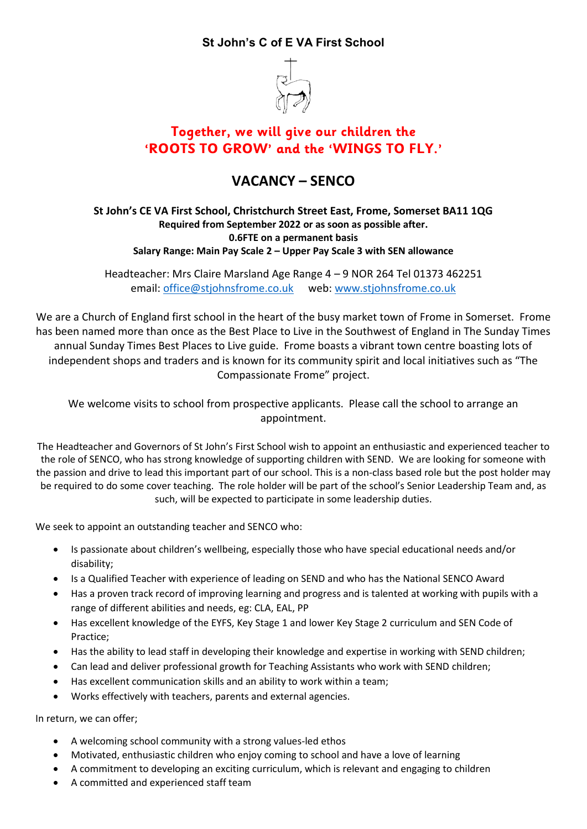## **St John's C of E VA First School**



## **Together, we will give our children the 'ROOTS TO GROW' and the 'WINGS TO FLY.'**

## **VACANCY – SENCO**

**St John's CE VA First School, Christchurch Street East, Frome, Somerset BA11 1QG Required from September 2022 or as soon as possible after. 0.6FTE on a permanent basis Salary Range: Main Pay Scale 2 – Upper Pay Scale 3 with SEN allowance**

Headteacher: Mrs Claire Marsland Age Range 4 – 9 NOR 264 Tel 01373 462251 email: [office@stjohnsfrome.co.uk](mailto:office@stjohnsfrome.co.uk) web: [www.stjohnsfrome.co.uk](http://www.stjohnsfrome.co.uk/)

We are a Church of England first school in the heart of the busy market town of Frome in Somerset. Frome has been named more than once as the Best Place to Live in the Southwest of England in The Sunday Times annual Sunday Times Best Places to Live guide. Frome boasts a vibrant town centre boasting lots of independent shops and traders and is known for its community spirit and local initiatives such as "The Compassionate Frome" project.

We welcome visits to school from prospective applicants. Please call the school to arrange an appointment.

The Headteacher and Governors of St John's First School wish to appoint an enthusiastic and experienced teacher to the role of SENCO, who has strong knowledge of supporting children with SEND. We are looking for someone with the passion and drive to lead this important part of our school. This is a non-class based role but the post holder may be required to do some cover teaching. The role holder will be part of the school's Senior Leadership Team and, as such, will be expected to participate in some leadership duties.

We seek to appoint an outstanding teacher and SENCO who:

- Is passionate about children's wellbeing, especially those who have special educational needs and/or disability;
- Is a Qualified Teacher with experience of leading on SEND and who has the National SENCO Award
- Has a proven track record of improving learning and progress and is talented at working with pupils with a range of different abilities and needs, eg: CLA, EAL, PP
- Has excellent knowledge of the EYFS, Key Stage 1 and lower Key Stage 2 curriculum and SEN Code of Practice;
- Has the ability to lead staff in developing their knowledge and expertise in working with SEND children;
- Can lead and deliver professional growth for Teaching Assistants who work with SEND children;
- Has excellent communication skills and an ability to work within a team;
- Works effectively with teachers, parents and external agencies.

In return, we can offer;

- A welcoming school community with a strong values-led ethos
- Motivated, enthusiastic children who enjoy coming to school and have a love of learning
- A commitment to developing an exciting curriculum, which is relevant and engaging to children
- A committed and experienced staff team